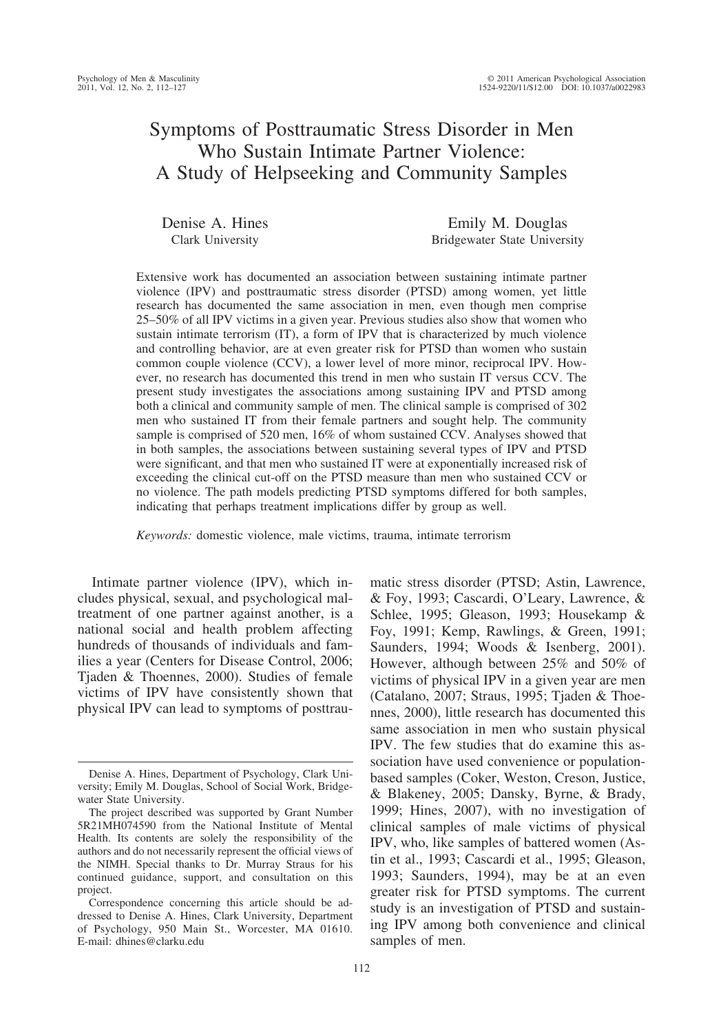# Symptoms of Posttraumatic Stress Disorder in Men Who Sustain Intimate Partner Violence: A Study of Helpseeking and Community Samples

Denise A. Hines Clark University

Emily M. Douglas Bridgewater State University

Extensive work has documented an association between sustaining intimate partner violence (IPV) and posttraumatic stress disorder (PTSD) among women, yet little research has documented the same association in men, even though men comprise 25–50% of all IPV victims in a given year. Previous studies also show that women who sustain intimate terrorism (IT), a form of IPV that is characterized by much violence and controlling behavior, are at even greater risk for PTSD than women who sustain common couple violence (CCV), a lower level of more minor, reciprocal IPV. However, no research has documented this trend in men who sustain IT versus CCV. The present study investigates the associations among sustaining IPV and PTSD among both a clinical and community sample of men. The clinical sample is comprised of 302 men who sustained IT from their female partners and sought help. The community sample is comprised of 520 men, 16% of whom sustained CCV. Analyses showed that in both samples, the associations between sustaining several types of IPV and PTSD were significant, and that men who sustained IT were at exponentially increased risk of exceeding the clinical cut-off on the PTSD measure than men who sustained CCV or no violence. The path models predicting PTSD symptoms differed for both samples, indicating that perhaps treatment implications differ by group as well.

*Keywords:* domestic violence, male victims, trauma, intimate terrorism

Intimate partner violence (IPV), which includes physical, sexual, and psychological maltreatment of one partner against another, is a national social and health problem affecting hundreds of thousands of individuals and families a year (Centers for Disease Control, 2006; Tjaden & Thoennes, 2000). Studies of female victims of IPV have consistently shown that physical IPV can lead to symptoms of posttrau-

matic stress disorder (PTSD; Astin, Lawrence, & Foy, 1993; Cascardi, O'Leary, Lawrence, & Schlee, 1995; Gleason, 1993; Housekamp & Foy, 1991; Kemp, Rawlings, & Green, 1991; Saunders, 1994; Woods & Isenberg, 2001). However, although between 25% and 50% of victims of physical IPV in a given year are men (Catalano, 2007; Straus, 1995; Tjaden & Thoennes, 2000), little research has documented this same association in men who sustain physical IPV. The few studies that do examine this association have used convenience or populationbased samples (Coker, Weston, Creson, Justice, & Blakeney, 2005; Dansky, Byrne, & Brady, 1999; Hines, 2007), with no investigation of clinical samples of male victims of physical IPV, who, like samples of battered women (Astin et al., 1993; Cascardi et al., 1995; Gleason, 1993; Saunders, 1994), may be at an even greater risk for PTSD symptoms. The current study is an investigation of PTSD and sustaining IPV among both convenience and clinical samples of men.

Denise A. Hines, Department of Psychology, Clark University; Emily M. Douglas, School of Social Work, Bridgewater State University.

The project described was supported by Grant Number 5R21MH074590 from the National Institute of Mental Health. Its contents are solely the responsibility of the authors and do not necessarily represent the official views of the NIMH. Special thanks to Dr. Murray Straus for his continued guidance, support, and consultation on this project.

Correspondence concerning this article should be addressed to Denise A. Hines, Clark University, Department of Psychology, 950 Main St., Worcester, MA 01610. E-mail: dhines@clarku.edu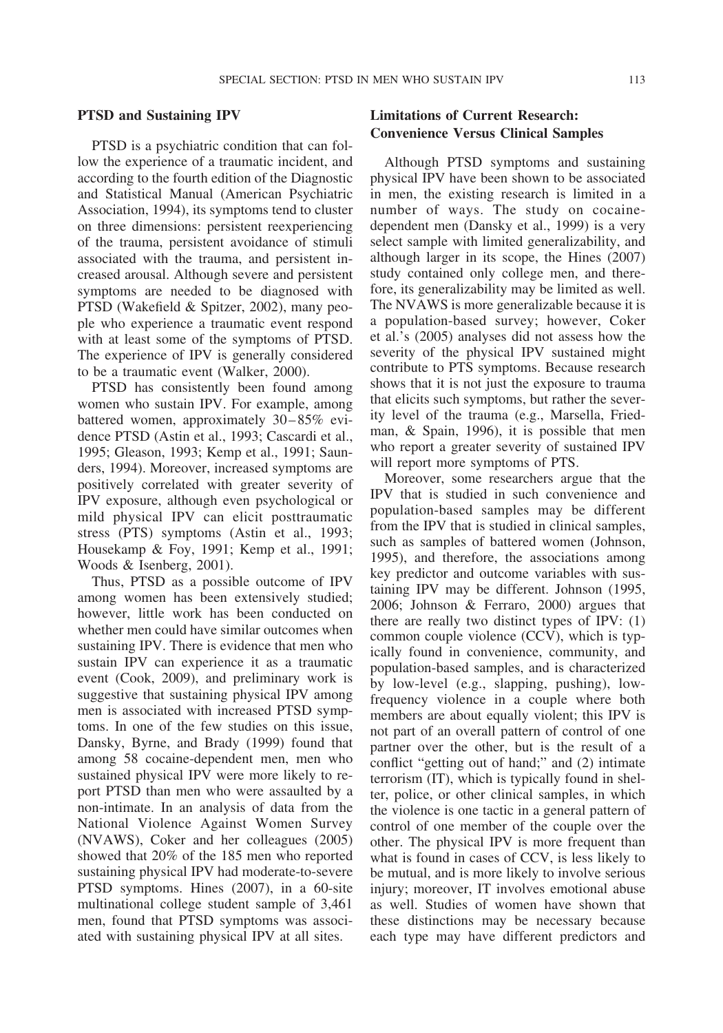#### **PTSD and Sustaining IPV**

PTSD is a psychiatric condition that can follow the experience of a traumatic incident, and according to the fourth edition of the Diagnostic and Statistical Manual (American Psychiatric Association, 1994), its symptoms tend to cluster on three dimensions: persistent reexperiencing of the trauma, persistent avoidance of stimuli associated with the trauma, and persistent increased arousal. Although severe and persistent symptoms are needed to be diagnosed with PTSD (Wakefield & Spitzer, 2002), many people who experience a traumatic event respond with at least some of the symptoms of PTSD. The experience of IPV is generally considered to be a traumatic event (Walker, 2000).

PTSD has consistently been found among women who sustain IPV. For example, among battered women, approximately 30–85% evidence PTSD (Astin et al., 1993; Cascardi et al., 1995; Gleason, 1993; Kemp et al., 1991; Saunders, 1994). Moreover, increased symptoms are positively correlated with greater severity of IPV exposure, although even psychological or mild physical IPV can elicit posttraumatic stress (PTS) symptoms (Astin et al., 1993; Housekamp & Foy, 1991; Kemp et al., 1991; Woods & Isenberg, 2001).

Thus, PTSD as a possible outcome of IPV among women has been extensively studied; however, little work has been conducted on whether men could have similar outcomes when sustaining IPV. There is evidence that men who sustain IPV can experience it as a traumatic event (Cook, 2009), and preliminary work is suggestive that sustaining physical IPV among men is associated with increased PTSD symptoms. In one of the few studies on this issue, Dansky, Byrne, and Brady (1999) found that among 58 cocaine-dependent men, men who sustained physical IPV were more likely to report PTSD than men who were assaulted by a non-intimate. In an analysis of data from the National Violence Against Women Survey (NVAWS), Coker and her colleagues (2005) showed that 20% of the 185 men who reported sustaining physical IPV had moderate-to-severe PTSD symptoms. Hines (2007), in a 60-site multinational college student sample of 3,461 men, found that PTSD symptoms was associated with sustaining physical IPV at all sites.

# **Limitations of Current Research: Convenience Versus Clinical Samples**

Although PTSD symptoms and sustaining physical IPV have been shown to be associated in men, the existing research is limited in a number of ways. The study on cocainedependent men (Dansky et al., 1999) is a very select sample with limited generalizability, and although larger in its scope, the Hines (2007) study contained only college men, and therefore, its generalizability may be limited as well. The NVAWS is more generalizable because it is a population-based survey; however, Coker et al.'s (2005) analyses did not assess how the severity of the physical IPV sustained might contribute to PTS symptoms. Because research shows that it is not just the exposure to trauma that elicits such symptoms, but rather the severity level of the trauma (e.g., Marsella, Friedman, & Spain, 1996), it is possible that men who report a greater severity of sustained IPV will report more symptoms of PTS.

Moreover, some researchers argue that the IPV that is studied in such convenience and population-based samples may be different from the IPV that is studied in clinical samples, such as samples of battered women (Johnson, 1995), and therefore, the associations among key predictor and outcome variables with sustaining IPV may be different. Johnson (1995, 2006; Johnson & Ferraro, 2000) argues that there are really two distinct types of IPV: (1) common couple violence (CCV), which is typically found in convenience, community, and population-based samples, and is characterized by low-level (e.g., slapping, pushing), lowfrequency violence in a couple where both members are about equally violent; this IPV is not part of an overall pattern of control of one partner over the other, but is the result of a conflict "getting out of hand;" and (2) intimate terrorism (IT), which is typically found in shelter, police, or other clinical samples, in which the violence is one tactic in a general pattern of control of one member of the couple over the other. The physical IPV is more frequent than what is found in cases of CCV, is less likely to be mutual, and is more likely to involve serious injury; moreover, IT involves emotional abuse as well. Studies of women have shown that these distinctions may be necessary because each type may have different predictors and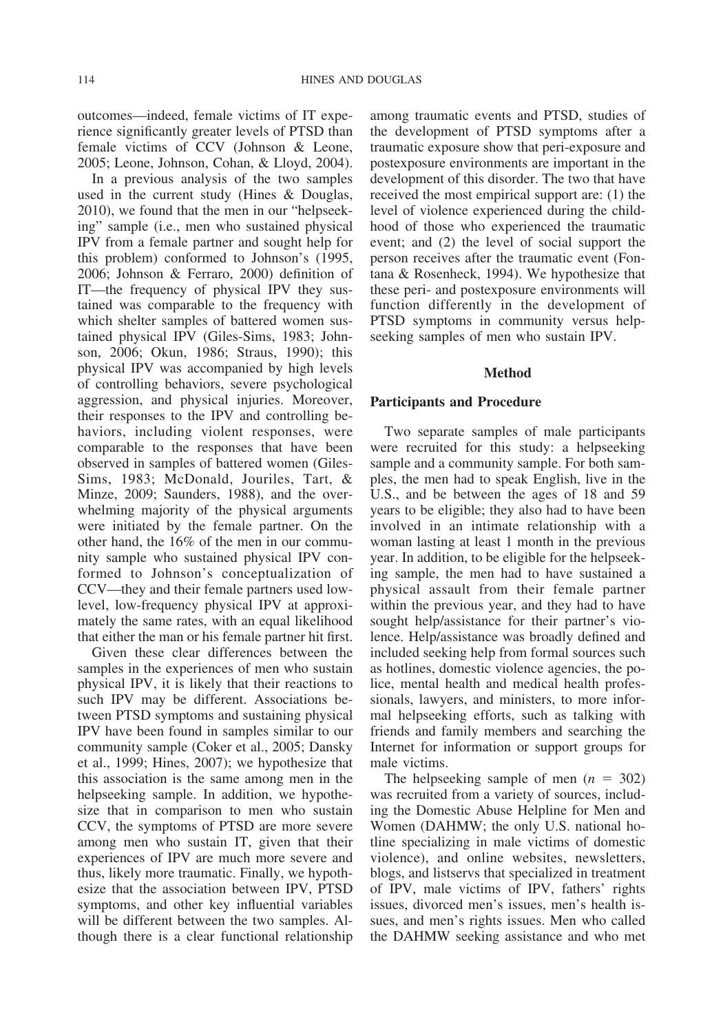outcomes—indeed, female victims of IT experience significantly greater levels of PTSD than female victims of CCV (Johnson & Leone, 2005; Leone, Johnson, Cohan, & Lloyd, 2004).

In a previous analysis of the two samples used in the current study (Hines & Douglas, 2010), we found that the men in our "helpseeking" sample (i.e., men who sustained physical IPV from a female partner and sought help for this problem) conformed to Johnson's (1995, 2006; Johnson & Ferraro, 2000) definition of IT—the frequency of physical IPV they sustained was comparable to the frequency with which shelter samples of battered women sustained physical IPV (Giles-Sims, 1983; Johnson, 2006; Okun, 1986; Straus, 1990); this physical IPV was accompanied by high levels of controlling behaviors, severe psychological aggression, and physical injuries. Moreover, their responses to the IPV and controlling behaviors, including violent responses, were comparable to the responses that have been observed in samples of battered women (Giles-Sims, 1983; McDonald, Jouriles, Tart, & Minze, 2009; Saunders, 1988), and the overwhelming majority of the physical arguments were initiated by the female partner. On the other hand, the 16% of the men in our community sample who sustained physical IPV conformed to Johnson's conceptualization of CCV—they and their female partners used lowlevel, low-frequency physical IPV at approximately the same rates, with an equal likelihood that either the man or his female partner hit first.

Given these clear differences between the samples in the experiences of men who sustain physical IPV, it is likely that their reactions to such IPV may be different. Associations between PTSD symptoms and sustaining physical IPV have been found in samples similar to our community sample (Coker et al., 2005; Dansky et al., 1999; Hines, 2007); we hypothesize that this association is the same among men in the helpseeking sample. In addition, we hypothesize that in comparison to men who sustain CCV, the symptoms of PTSD are more severe among men who sustain IT, given that their experiences of IPV are much more severe and thus, likely more traumatic. Finally, we hypothesize that the association between IPV, PTSD symptoms, and other key influential variables will be different between the two samples. Although there is a clear functional relationship among traumatic events and PTSD, studies of the development of PTSD symptoms after a traumatic exposure show that peri-exposure and postexposure environments are important in the development of this disorder. The two that have received the most empirical support are: (1) the level of violence experienced during the childhood of those who experienced the traumatic event; and (2) the level of social support the person receives after the traumatic event (Fontana & Rosenheck, 1994). We hypothesize that these peri- and postexposure environments will function differently in the development of PTSD symptoms in community versus helpseeking samples of men who sustain IPV.

### **Method**

#### **Participants and Procedure**

Two separate samples of male participants were recruited for this study: a helpseeking sample and a community sample. For both samples, the men had to speak English, live in the U.S., and be between the ages of 18 and 59 years to be eligible; they also had to have been involved in an intimate relationship with a woman lasting at least 1 month in the previous year. In addition, to be eligible for the helpseeking sample, the men had to have sustained a physical assault from their female partner within the previous year, and they had to have sought help/assistance for their partner's violence. Help/assistance was broadly defined and included seeking help from formal sources such as hotlines, domestic violence agencies, the police, mental health and medical health professionals, lawyers, and ministers, to more informal helpseeking efforts, such as talking with friends and family members and searching the Internet for information or support groups for male victims.

The helpseeking sample of men  $(n = 302)$ was recruited from a variety of sources, including the Domestic Abuse Helpline for Men and Women (DAHMW; the only U.S. national hotline specializing in male victims of domestic violence), and online websites, newsletters, blogs, and listservs that specialized in treatment of IPV, male victims of IPV, fathers' rights issues, divorced men's issues, men's health issues, and men's rights issues. Men who called the DAHMW seeking assistance and who met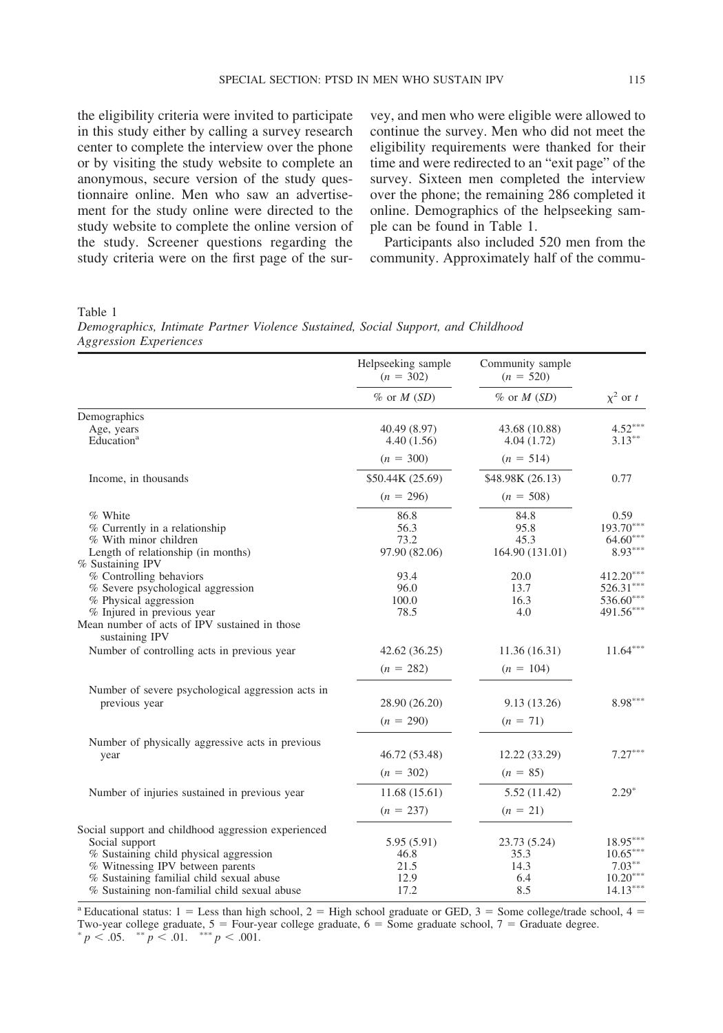the eligibility criteria were invited to participate in this study either by calling a survey research center to complete the interview over the phone or by visiting the study website to complete an anonymous, secure version of the study questionnaire online. Men who saw an advertisement for the study online were directed to the study website to complete the online version of the study. Screener questions regarding the study criteria were on the first page of the sur-

vey, and men who were eligible were allowed to continue the survey. Men who did not meet the eligibility requirements were thanked for their time and were redirected to an "exit page" of the survey. Sixteen men completed the interview over the phone; the remaining 286 completed it online. Demographics of the helpseeking sample can be found in Table 1.

Participants also included 520 men from the community. Approximately half of the commu-

Table 1

| Demographics, Intimate Partner Violence Sustained, Social Support, and Childhood |  |  |  |  |
|----------------------------------------------------------------------------------|--|--|--|--|
| <b>Aggression Experiences</b>                                                    |  |  |  |  |

|                                                                                                                                                                                                                                                 | Helpseeking sample<br>$(n = 302)$          | Community sample<br>$(n = 520)$            |                                                                   |  |
|-------------------------------------------------------------------------------------------------------------------------------------------------------------------------------------------------------------------------------------------------|--------------------------------------------|--------------------------------------------|-------------------------------------------------------------------|--|
|                                                                                                                                                                                                                                                 | $\%$ or M (SD)                             | $\%$ or $M(SD)$                            | $\chi^2$ or t                                                     |  |
| Demographics                                                                                                                                                                                                                                    |                                            |                                            |                                                                   |  |
| Age, years<br>Education <sup>a</sup>                                                                                                                                                                                                            | 40.49 (8.97)<br>4.40(1.56)                 | 43.68 (10.88)<br>4.04(1.72)                | $4.52***$<br>$3.13***$                                            |  |
|                                                                                                                                                                                                                                                 | $(n = 300)$                                | $(n = 514)$                                |                                                                   |  |
| Income, in thousands                                                                                                                                                                                                                            | \$50.44K (25.69)                           | \$48.98K (26.13)                           | 0.77                                                              |  |
|                                                                                                                                                                                                                                                 | $(n = 296)$                                | $(n = 508)$                                |                                                                   |  |
| % White<br>% Currently in a relationship<br>% With minor children<br>Length of relationship (in months)                                                                                                                                         | 86.8<br>56.3<br>73.2<br>97.90 (82.06)      | 84.8<br>95.8<br>45.3<br>164.90 (131.01)    | 0.59<br>$193.70***$<br>$64.60***$<br>$8.93***$                    |  |
| % Sustaining IPV<br>% Controlling behaviors<br>% Severe psychological aggression<br>% Physical aggression<br>% Injured in previous year<br>Mean number of acts of IPV sustained in those                                                        | 93.4<br>96.0<br>100.0<br>78.5              | 20.0<br>13.7<br>16.3<br>4.0                | $412.20***$<br>526.31***<br>536.60***<br>491.56***                |  |
| sustaining IPV<br>Number of controlling acts in previous year                                                                                                                                                                                   | 42.62(36.25)<br>$(n = 282)$                | 11.36(16.31)<br>$(n = 104)$                | $11.64***$                                                        |  |
| Number of severe psychological aggression acts in<br>previous year                                                                                                                                                                              | 28.90 (26.20)<br>$(n = 290)$               | 9.13(13.26)<br>$(n = 71)$                  | $8.98***$                                                         |  |
| Number of physically aggressive acts in previous<br>year                                                                                                                                                                                        | 46.72 (53.48)<br>$(n = 302)$               | 12.22 (33.29)<br>$(n = 85)$                | $7.27***$                                                         |  |
| Number of injuries sustained in previous year                                                                                                                                                                                                   | 11.68(15.61)<br>$(n = 237)$                | 5.52(11.42)<br>$(n = 21)$                  | $2.29*$                                                           |  |
| Social support and childhood aggression experienced<br>Social support<br>% Sustaining child physical aggression<br>% Witnessing IPV between parents<br>% Sustaining familial child sexual abuse<br>% Sustaining non-familial child sexual abuse | 5.95(5.91)<br>46.8<br>21.5<br>12.9<br>17.2 | 23.73 (5.24)<br>35.3<br>14.3<br>6.4<br>8.5 | $18.95***$<br>$10.65***$<br>$7.03***$<br>$10.20***$<br>$14.13***$ |  |

<sup>a</sup> Educational status:  $1 =$  Less than high school,  $2 =$  High school graduate or GED,  $3 =$  Some college/trade school,  $4 =$ Two-year college graduate,  $5 =$  Four-year college graduate,  $6 =$  Some graduate school,  $7 =$  Graduate degree.  $p < .05$ .  $\binom{p}{k}$   $p < .01$ .  $\binom{p}{k}$   $q < .001$ .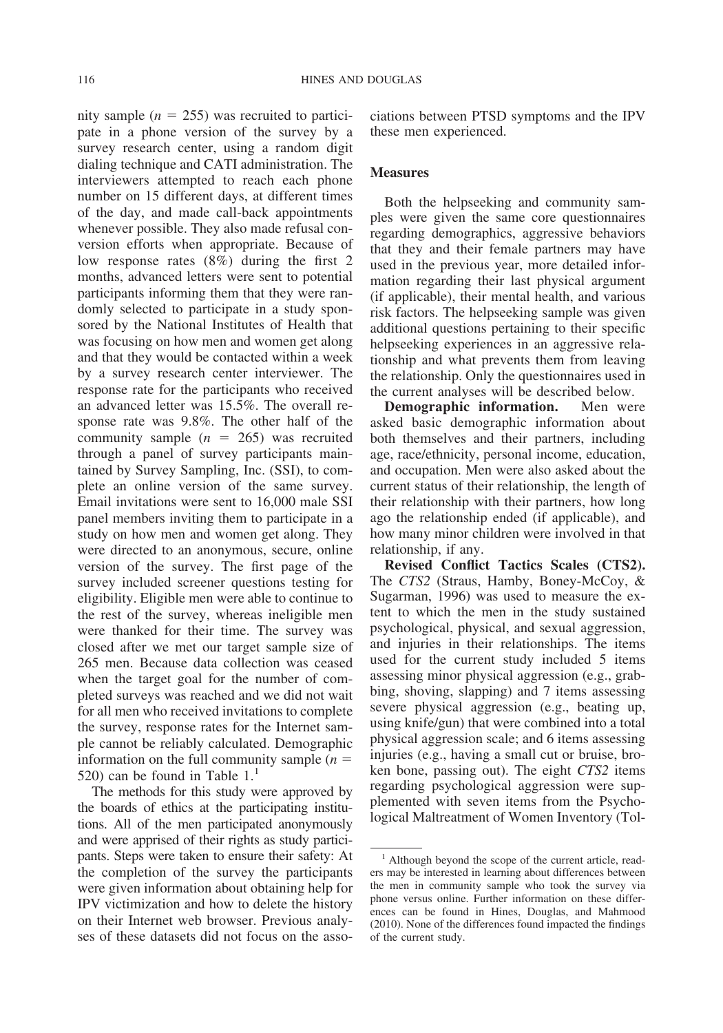nity sample  $(n = 255)$  was recruited to participate in a phone version of the survey by a survey research center, using a random digit dialing technique and CATI administration. The interviewers attempted to reach each phone number on 15 different days, at different times of the day, and made call-back appointments whenever possible. They also made refusal conversion efforts when appropriate. Because of low response rates (8%) during the first 2 months, advanced letters were sent to potential participants informing them that they were randomly selected to participate in a study sponsored by the National Institutes of Health that was focusing on how men and women get along and that they would be contacted within a week by a survey research center interviewer. The response rate for the participants who received an advanced letter was 15.5%. The overall response rate was 9.8%. The other half of the community sample  $(n = 265)$  was recruited through a panel of survey participants maintained by Survey Sampling, Inc. (SSI), to complete an online version of the same survey. Email invitations were sent to 16,000 male SSI panel members inviting them to participate in a study on how men and women get along. They were directed to an anonymous, secure, online version of the survey. The first page of the survey included screener questions testing for eligibility. Eligible men were able to continue to the rest of the survey, whereas ineligible men were thanked for their time. The survey was closed after we met our target sample size of 265 men. Because data collection was ceased when the target goal for the number of completed surveys was reached and we did not wait for all men who received invitations to complete the survey, response rates for the Internet sample cannot be reliably calculated. Demographic information on the full community sample (*n* 520) can be found in Table  $1<sup>1</sup>$ 

The methods for this study were approved by the boards of ethics at the participating institutions. All of the men participated anonymously and were apprised of their rights as study participants. Steps were taken to ensure their safety: At the completion of the survey the participants were given information about obtaining help for IPV victimization and how to delete the history on their Internet web browser. Previous analyses of these datasets did not focus on the associations between PTSD symptoms and the IPV these men experienced.

#### **Measures**

Both the helpseeking and community samples were given the same core questionnaires regarding demographics, aggressive behaviors that they and their female partners may have used in the previous year, more detailed information regarding their last physical argument (if applicable), their mental health, and various risk factors. The helpseeking sample was given additional questions pertaining to their specific helpseeking experiences in an aggressive relationship and what prevents them from leaving the relationship. Only the questionnaires used in the current analyses will be described below.

**Demographic information.** Men were asked basic demographic information about both themselves and their partners, including age, race/ethnicity, personal income, education, and occupation. Men were also asked about the current status of their relationship, the length of their relationship with their partners, how long ago the relationship ended (if applicable), and how many minor children were involved in that relationship, if any.

**Revised Conflict Tactics Scales (CTS2).** The *CTS2* (Straus, Hamby, Boney-McCoy, & Sugarman, 1996) was used to measure the extent to which the men in the study sustained psychological, physical, and sexual aggression, and injuries in their relationships. The items used for the current study included 5 items assessing minor physical aggression (e.g., grabbing, shoving, slapping) and 7 items assessing severe physical aggression (e.g., beating up, using knife/gun) that were combined into a total physical aggression scale; and 6 items assessing injuries (e.g., having a small cut or bruise, broken bone, passing out). The eight *CTS2* items regarding psychological aggression were supplemented with seven items from the Psychological Maltreatment of Women Inventory (Tol-

<sup>&</sup>lt;sup>1</sup> Although beyond the scope of the current article, readers may be interested in learning about differences between the men in community sample who took the survey via phone versus online. Further information on these differences can be found in Hines, Douglas, and Mahmood (2010). None of the differences found impacted the findings of the current study.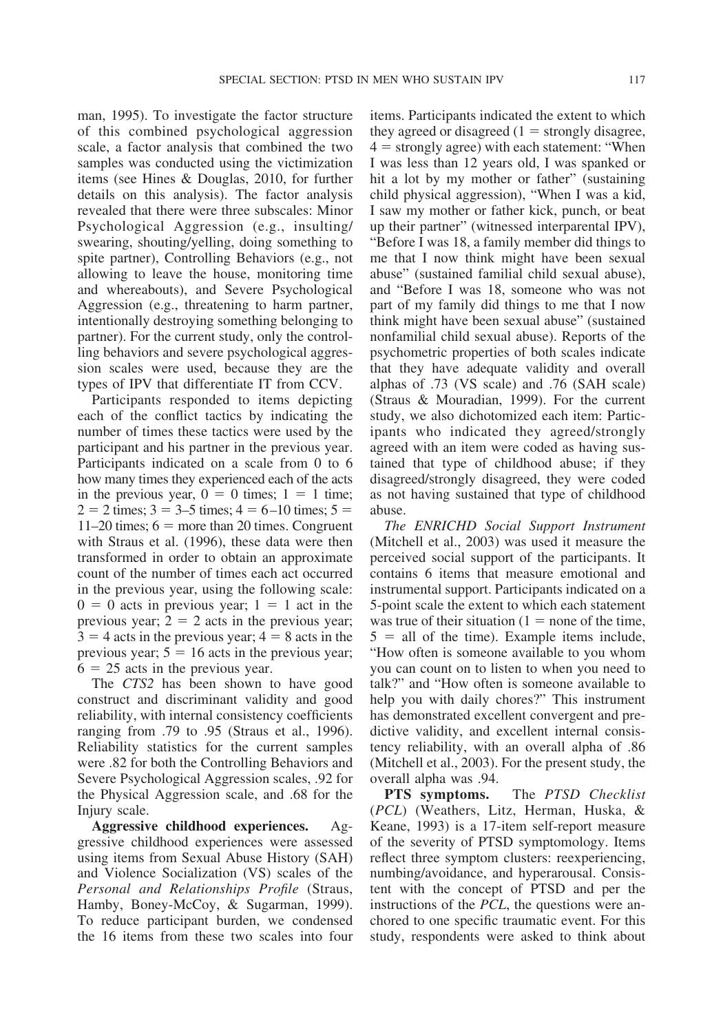man, 1995). To investigate the factor structure of this combined psychological aggression scale, a factor analysis that combined the two samples was conducted using the victimization items (see Hines & Douglas, 2010, for further details on this analysis). The factor analysis revealed that there were three subscales: Minor Psychological Aggression (e.g., insulting/ swearing, shouting/yelling, doing something to spite partner), Controlling Behaviors (e.g., not allowing to leave the house, monitoring time and whereabouts), and Severe Psychological Aggression (e.g., threatening to harm partner, intentionally destroying something belonging to partner). For the current study, only the controlling behaviors and severe psychological aggression scales were used, because they are the types of IPV that differentiate IT from CCV.

Participants responded to items depicting each of the conflict tactics by indicating the number of times these tactics were used by the participant and his partner in the previous year. Participants indicated on a scale from 0 to 6 how many times they experienced each of the acts in the previous year,  $0 = 0$  times;  $1 = 1$  time;  $2 = 2$  times;  $3 = 3{\text -}5$  times;  $4 = 6{\text -}10$  times;  $5 =$ 11–20 times;  $6 =$  more than 20 times. Congruent with Straus et al. (1996), these data were then transformed in order to obtain an approximate count of the number of times each act occurred in the previous year, using the following scale:  $0 = 0$  acts in previous year;  $1 = 1$  act in the previous year;  $2 = 2$  acts in the previous year;  $3 = 4$  acts in the previous year;  $4 = 8$  acts in the previous year;  $5 = 16$  acts in the previous year;  $6 = 25$  acts in the previous year.

The *CTS2* has been shown to have good construct and discriminant validity and good reliability, with internal consistency coefficients ranging from .79 to .95 (Straus et al., 1996). Reliability statistics for the current samples were .82 for both the Controlling Behaviors and Severe Psychological Aggression scales, .92 for the Physical Aggression scale, and .68 for the Injury scale.

**Aggressive childhood experiences.** Aggressive childhood experiences were assessed using items from Sexual Abuse History (SAH) and Violence Socialization (VS) scales of the *Personal and Relationships Profile* (Straus, Hamby, Boney-McCoy, & Sugarman, 1999). To reduce participant burden, we condensed the 16 items from these two scales into four items. Participants indicated the extent to which they agreed or disagreed  $(1 =$  strongly disagree,  $4 =$  strongly agree) with each statement: "When I was less than 12 years old, I was spanked or hit a lot by my mother or father" (sustaining child physical aggression), "When I was a kid, I saw my mother or father kick, punch, or beat up their partner" (witnessed interparental IPV), "Before I was 18, a family member did things to me that I now think might have been sexual abuse" (sustained familial child sexual abuse), and "Before I was 18, someone who was not part of my family did things to me that I now think might have been sexual abuse" (sustained nonfamilial child sexual abuse). Reports of the psychometric properties of both scales indicate that they have adequate validity and overall alphas of .73 (VS scale) and .76 (SAH scale) (Straus & Mouradian, 1999). For the current study, we also dichotomized each item: Participants who indicated they agreed/strongly agreed with an item were coded as having sustained that type of childhood abuse; if they disagreed/strongly disagreed, they were coded as not having sustained that type of childhood abuse.

*The ENRICHD Social Support Instrument* (Mitchell et al., 2003) was used it measure the perceived social support of the participants. It contains 6 items that measure emotional and instrumental support. Participants indicated on a 5-point scale the extent to which each statement was true of their situation  $(1 = none$  of the time,  $5 =$  all of the time). Example items include, "How often is someone available to you whom you can count on to listen to when you need to talk?" and "How often is someone available to help you with daily chores?" This instrument has demonstrated excellent convergent and predictive validity, and excellent internal consistency reliability, with an overall alpha of .86 (Mitchell et al., 2003). For the present study, the overall alpha was .94.

**PTS symptoms.** The *PTSD Checklist* (*PCL*) (Weathers, Litz, Herman, Huska, & Keane, 1993) is a 17-item self-report measure of the severity of PTSD symptomology. Items reflect three symptom clusters: reexperiencing, numbing/avoidance, and hyperarousal. Consistent with the concept of PTSD and per the instructions of the *PCL*, the questions were anchored to one specific traumatic event. For this study, respondents were asked to think about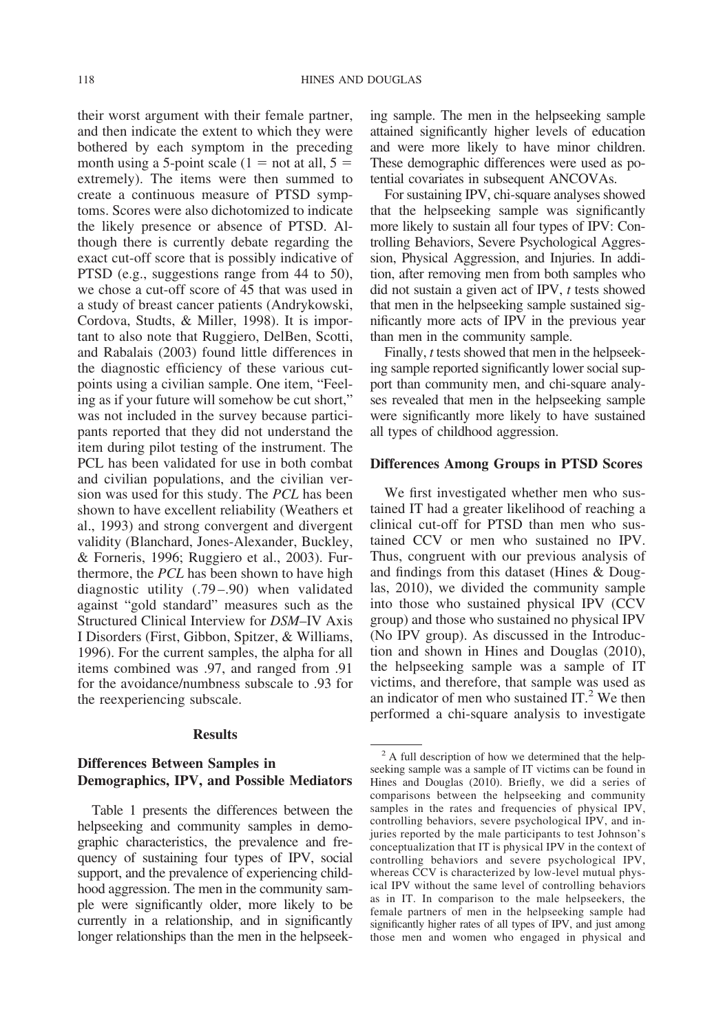their worst argument with their female partner, and then indicate the extent to which they were bothered by each symptom in the preceding month using a 5-point scale (1 = not at all,  $5 =$ extremely). The items were then summed to create a continuous measure of PTSD symptoms. Scores were also dichotomized to indicate the likely presence or absence of PTSD. Although there is currently debate regarding the exact cut-off score that is possibly indicative of PTSD (e.g., suggestions range from 44 to 50), we chose a cut-off score of 45 that was used in a study of breast cancer patients (Andrykowski, Cordova, Studts, & Miller, 1998). It is important to also note that Ruggiero, DelBen, Scotti, and Rabalais (2003) found little differences in the diagnostic efficiency of these various cutpoints using a civilian sample. One item, "Feeling as if your future will somehow be cut short," was not included in the survey because participants reported that they did not understand the item during pilot testing of the instrument. The PCL has been validated for use in both combat and civilian populations, and the civilian version was used for this study. The *PCL* has been shown to have excellent reliability (Weathers et al., 1993) and strong convergent and divergent validity (Blanchard, Jones-Alexander, Buckley, & Forneris, 1996; Ruggiero et al., 2003). Furthermore, the *PCL* has been shown to have high diagnostic utility (.79–.90) when validated against "gold standard" measures such as the Structured Clinical Interview for *DSM*–IV Axis I Disorders (First, Gibbon, Spitzer, & Williams, 1996). For the current samples, the alpha for all items combined was .97, and ranged from .91 for the avoidance/numbness subscale to .93 for the reexperiencing subscale.

### **Results**

# **Differences Between Samples in Demographics, IPV, and Possible Mediators**

Table 1 presents the differences between the helpseeking and community samples in demographic characteristics, the prevalence and frequency of sustaining four types of IPV, social support, and the prevalence of experiencing childhood aggression. The men in the community sample were significantly older, more likely to be currently in a relationship, and in significantly longer relationships than the men in the helpseeking sample. The men in the helpseeking sample attained significantly higher levels of education and were more likely to have minor children. These demographic differences were used as potential covariates in subsequent ANCOVAs.

For sustaining IPV, chi-square analyses showed that the helpseeking sample was significantly more likely to sustain all four types of IPV: Controlling Behaviors, Severe Psychological Aggression, Physical Aggression, and Injuries. In addition, after removing men from both samples who did not sustain a given act of IPV, *t* tests showed that men in the helpseeking sample sustained significantly more acts of IPV in the previous year than men in the community sample.

Finally, *t* tests showed that men in the helpseeking sample reported significantly lower social support than community men, and chi-square analyses revealed that men in the helpseeking sample were significantly more likely to have sustained all types of childhood aggression.

#### **Differences Among Groups in PTSD Scores**

We first investigated whether men who sustained IT had a greater likelihood of reaching a clinical cut-off for PTSD than men who sustained CCV or men who sustained no IPV. Thus, congruent with our previous analysis of and findings from this dataset (Hines & Douglas, 2010), we divided the community sample into those who sustained physical IPV (CCV group) and those who sustained no physical IPV (No IPV group). As discussed in the Introduction and shown in Hines and Douglas (2010), the helpseeking sample was a sample of IT victims, and therefore, that sample was used as an indicator of men who sustained  $IT<sup>2</sup>$  We then performed a chi-square analysis to investigate

<sup>&</sup>lt;sup>2</sup> A full description of how we determined that the helpseeking sample was a sample of IT victims can be found in Hines and Douglas (2010). Briefly, we did a series of comparisons between the helpseeking and community samples in the rates and frequencies of physical IPV, controlling behaviors, severe psychological IPV, and injuries reported by the male participants to test Johnson's conceptualization that IT is physical IPV in the context of controlling behaviors and severe psychological IPV, whereas CCV is characterized by low-level mutual physical IPV without the same level of controlling behaviors as in IT. In comparison to the male helpseekers, the female partners of men in the helpseeking sample had significantly higher rates of all types of IPV, and just among those men and women who engaged in physical and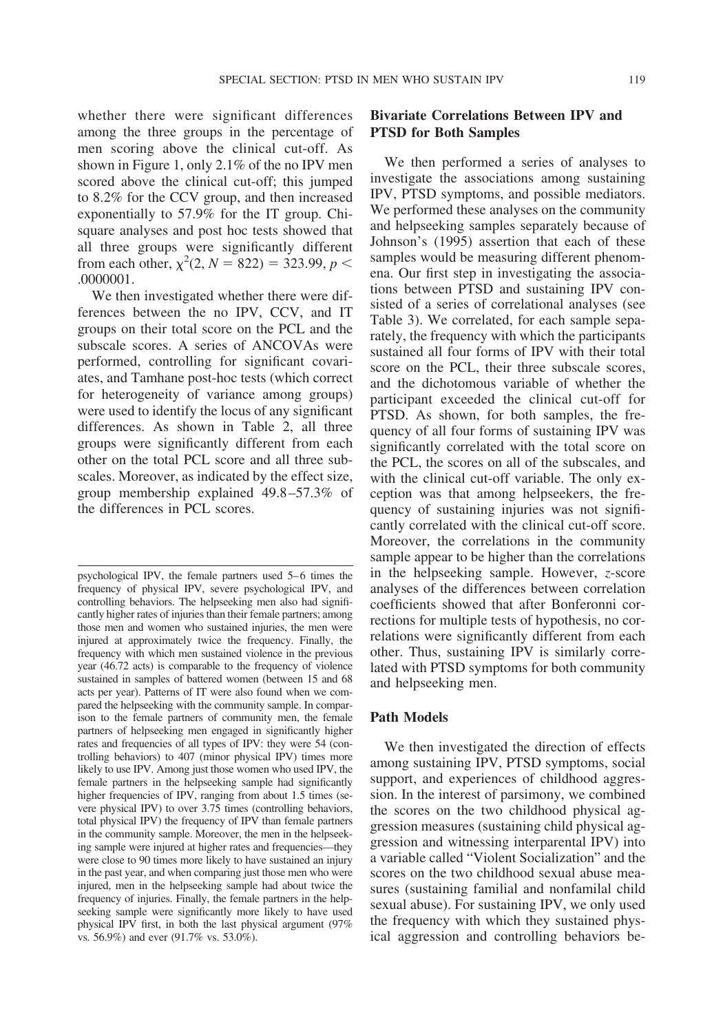whether there were significant differences among the three groups in the percentage of men scoring above the clinical cut-off. As shown in Figure 1, only 2.1% of the no IPV men scored above the clinical cut-off; this jumped to 8.2% for the CCV group, and then increased exponentially to 57.9% for the IT group. Chisquare analyses and post hoc tests showed that all three groups were significantly different from each other,  $\chi^2(2, N = 822) = 323.99, p <$ .0000001.

We then investigated whether there were differences between the no IPV, CCV, and IT groups on their total score on the PCL and the subscale scores. A series of ANCOVAs were performed, controlling for significant covariates, and Tamhane post-hoc tests (which correct for heterogeneity of variance among groups) were used to identify the locus of any significant differences. As shown in Table 2, all three groups were significantly different from each other on the total PCL score and all three subscales. Moreover, as indicated by the effect size, group membership explained 49.8–57.3% of the differences in PCL scores.

# **Bivariate Correlations Between IPV and PTSD for Both Samples**

We then performed a series of analyses to investigate the associations among sustaining IPV, PTSD symptoms, and possible mediators. We performed these analyses on the community and helpseeking samples separately because of Johnson's (1995) assertion that each of these samples would be measuring different phenomena. Our first step in investigating the associations between PTSD and sustaining IPV consisted of a series of correlational analyses (see Table 3). We correlated, for each sample separately, the frequency with which the participants sustained all four forms of IPV with their total score on the PCL, their three subscale scores, and the dichotomous variable of whether the participant exceeded the clinical cut-off for PTSD. As shown, for both samples, the frequency of all four forms of sustaining IPV was significantly correlated with the total score on the PCL, the scores on all of the subscales, and with the clinical cut-off variable. The only exception was that among helpseekers, the frequency of sustaining injuries was not significantly correlated with the clinical cut-off score. Moreover, the correlations in the community sample appear to be higher than the correlations in the helpseeking sample. However, *z*-score analyses of the differences between correlation coefficients showed that after Bonferonni corrections for multiple tests of hypothesis, no correlations were significantly different from each other. Thus, sustaining IPV is similarly correlated with PTSD symptoms for both community and helpseeking men.

## **Path Models**

We then investigated the direction of effects among sustaining IPV, PTSD symptoms, social support, and experiences of childhood aggression. In the interest of parsimony, we combined the scores on the two childhood physical aggression measures (sustaining child physical aggression and witnessing interparental IPV) into a variable called "Violent Socialization" and the scores on the two childhood sexual abuse measures (sustaining familial and nonfamilal child sexual abuse). For sustaining IPV, we only used the frequency with which they sustained physical aggression and controlling behaviors be-

psychological IPV, the female partners used 5–6 times the frequency of physical IPV, severe psychological IPV, and controlling behaviors. The helpseeking men also had significantly higher rates of injuries than their female partners; among those men and women who sustained injuries, the men were injured at approximately twice the frequency. Finally, the frequency with which men sustained violence in the previous year (46.72 acts) is comparable to the frequency of violence sustained in samples of battered women (between 15 and 68 acts per year). Patterns of IT were also found when we compared the helpseeking with the community sample. In comparison to the female partners of community men, the female partners of helpseeking men engaged in significantly higher rates and frequencies of all types of IPV: they were 54 (controlling behaviors) to 407 (minor physical IPV) times more likely to use IPV. Among just those women who used IPV, the female partners in the helpseeking sample had significantly higher frequencies of IPV, ranging from about 1.5 times (severe physical IPV) to over 3.75 times (controlling behaviors, total physical IPV) the frequency of IPV than female partners in the community sample. Moreover, the men in the helpseeking sample were injured at higher rates and frequencies—they were close to 90 times more likely to have sustained an injury in the past year, and when comparing just those men who were injured, men in the helpseeking sample had about twice the frequency of injuries. Finally, the female partners in the helpseeking sample were significantly more likely to have used physical IPV first, in both the last physical argument (97% vs. 56.9%) and ever (91.7% vs. 53.0%).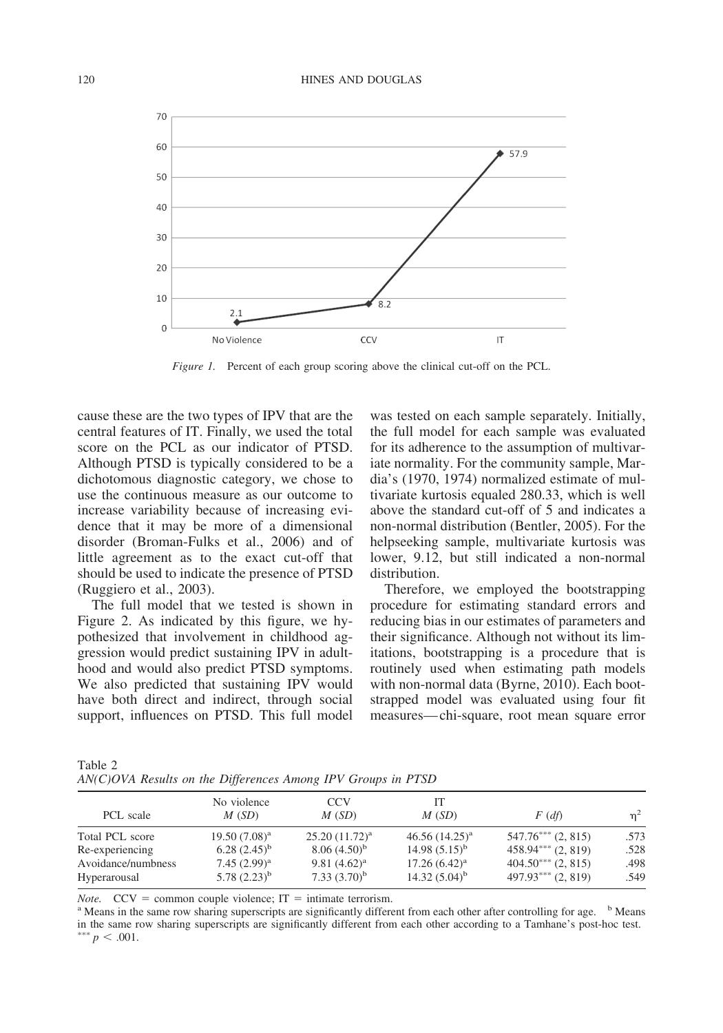

*Figure 1.* Percent of each group scoring above the clinical cut-off on the PCL.

cause these are the two types of IPV that are the central features of IT. Finally, we used the total score on the PCL as our indicator of PTSD. Although PTSD is typically considered to be a dichotomous diagnostic category, we chose to use the continuous measure as our outcome to increase variability because of increasing evidence that it may be more of a dimensional disorder (Broman-Fulks et al., 2006) and of little agreement as to the exact cut-off that should be used to indicate the presence of PTSD (Ruggiero et al., 2003).

The full model that we tested is shown in Figure 2. As indicated by this figure, we hypothesized that involvement in childhood aggression would predict sustaining IPV in adulthood and would also predict PTSD symptoms. We also predicted that sustaining IPV would have both direct and indirect, through social support, influences on PTSD. This full model was tested on each sample separately. Initially, the full model for each sample was evaluated for its adherence to the assumption of multivariate normality. For the community sample, Mardia's (1970, 1974) normalized estimate of multivariate kurtosis equaled 280.33, which is well above the standard cut-off of 5 and indicates a non-normal distribution (Bentler, 2005). For the helpseeking sample, multivariate kurtosis was lower, 9.12, but still indicated a non-normal distribution.

Therefore, we employed the bootstrapping procedure for estimating standard errors and reducing bias in our estimates of parameters and their significance. Although not without its limitations, bootstrapping is a procedure that is routinely used when estimating path models with non-normal data (Byrne, 2010). Each bootstrapped model was evaluated using four fit measures—chi-square, root mean square error

Table 2 *AN(C)OVA Results on the Differences Among IPV Groups in PTSD*

| PCL scale          | No violence<br>M(SD) | CCV<br>M(SD)       | M(SD)               | $F(d\hat{t})$        | $n^2$ |
|--------------------|----------------------|--------------------|---------------------|----------------------|-------|
| Total PCL score    | $19.50(7.08)^a$      | $25.20(11.72)^{a}$ | $46.56 (14.25)^{a}$ | $547.76***$ (2, 815) | .573  |
| Re-experiencing    | $(2.45)^{b}$         | $8.06(4.50)^{b}$   | $14.98(5.15)^{b}$   | $458.94***$ (2, 819) | .528  |
| Avoidance/numbness | 7.45 $(2.99)^a$      | 9.81 $(4.62)^a$    | $17.26(6.42)^a$     | $404.50***$ (2, 815) | .498  |
| Hyperarousal       | 5.78 $(2.23)^{b}$    | 7.33 $(3.70)^b$    | 14.32 $(5.04)^b$    | $497.93***$ (2, 819) | .549  |

*Note.* CCV = common couple violence; IT = intimate terrorism.<br><sup>a</sup> Means in the same row sharing superscripts are significantly different from each other after controlling for age. <sup>b</sup> Means in the same row sharing superscripts are significantly different from each other according to a Tamhane's post-hoc test.  $p < .001$ .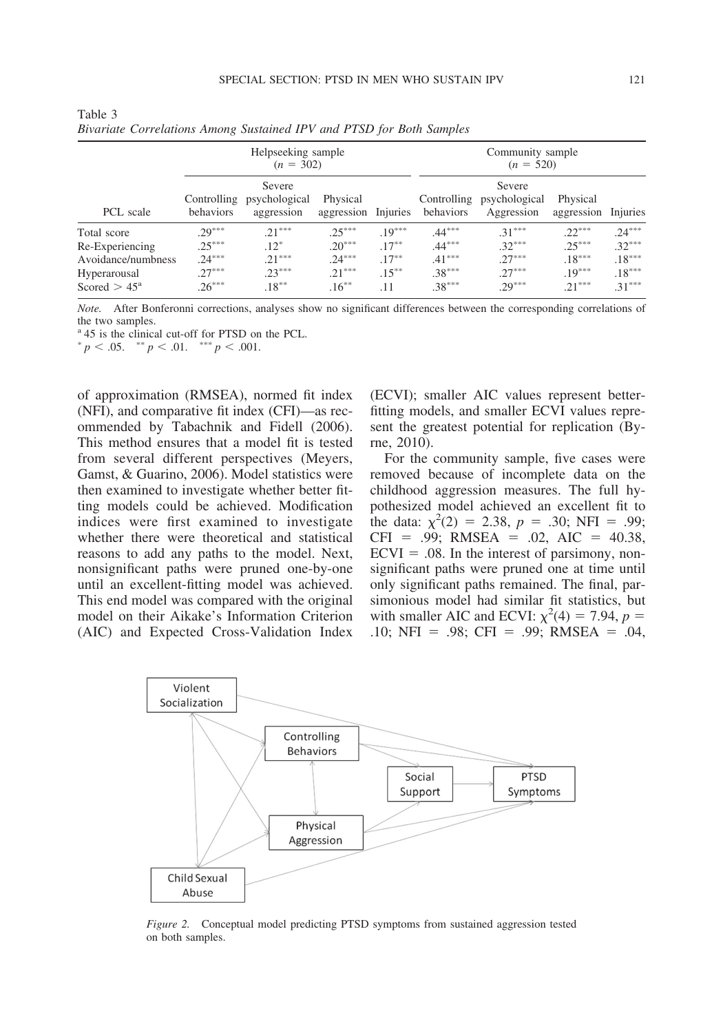|                       | Helpseeking sample<br>$(n = 302)$ |                                       |                                 |          | Community sample<br>$(n = 520)$ |                                       |                        |          |
|-----------------------|-----------------------------------|---------------------------------------|---------------------------------|----------|---------------------------------|---------------------------------------|------------------------|----------|
| PCL scale             | Controlling<br>behaviors          | Severe<br>psychological<br>aggression | Physical<br>aggression Injuries |          | Controlling<br>behaviors        | Severe<br>psychological<br>Aggression | Physical<br>aggression | Injuries |
| Total score           | $29***$                           | $21***$                               | $25***$                         | $.19***$ | $.44***$                        | $.31***$                              | $22***$                | $.24***$ |
| Re-Experiencing       | $.25***$                          | $.12*$                                | $.20***$                        | $.17***$ | $.44***$                        | $.32***$                              | $.25***$               | $.32***$ |
| Avoidance/numbness    | $.24***$                          | $21***$                               | $.24***$                        | $.17***$ | $.41***$                        | $27***$                               | $.18***$               | $.18***$ |
| Hyperarousal          | $27***$                           | $.23***$                              | $21***$                         | $.15***$ | $.38***$                        | $27***$                               | $.19***$               | $.18***$ |
| Scored $> 45^{\circ}$ | $26***$                           | $.18***$                              | $.16***$                        | . 11     | $.38***$                        | $29***$                               | $21***$                | $.31***$ |

| Table 3                                                              |  |  |
|----------------------------------------------------------------------|--|--|
| Bivariate Correlations Among Sustained IPV and PTSD for Both Samples |  |  |

*Note.* After Bonferonni corrections, analyses show no significant differences between the corresponding correlations of the two samples.

<sup>a</sup> 45 is the clinical cut-off for PTSD on the PCL.

 $p < .05.$   $p < .01.$   $p < .001.$ 

of approximation (RMSEA), normed fit index (NFI), and comparative fit index (CFI)—as recommended by Tabachnik and Fidell (2006). This method ensures that a model fit is tested from several different perspectives (Meyers, Gamst, & Guarino, 2006). Model statistics were then examined to investigate whether better fitting models could be achieved. Modification indices were first examined to investigate whether there were theoretical and statistical reasons to add any paths to the model. Next, nonsignificant paths were pruned one-by-one until an excellent-fitting model was achieved. This end model was compared with the original model on their Aikake's Information Criterion (AIC) and Expected Cross-Validation Index

(ECVI); smaller AIC values represent betterfitting models, and smaller ECVI values represent the greatest potential for replication (Byrne, 2010).

For the community sample, five cases were removed because of incomplete data on the childhood aggression measures. The full hypothesized model achieved an excellent fit to the data:  $\chi^2(2) = 2.38$ ,  $p = .30$ ; NFI = .99;  $CFI = .99$ ; RMSEA = .02, AIC = 40.38,  $ECVI = .08$ . In the interest of parsimony, nonsignificant paths were pruned one at time until only significant paths remained. The final, parsimonious model had similar fit statistics, but with smaller AIC and ECVI:  $\chi^2(4) = 7.94$ ,  $p =$ .10; NFI = .98; CFI = .99; RMSEA = .04,



*Figure 2.* Conceptual model predicting PTSD symptoms from sustained aggression tested on both samples.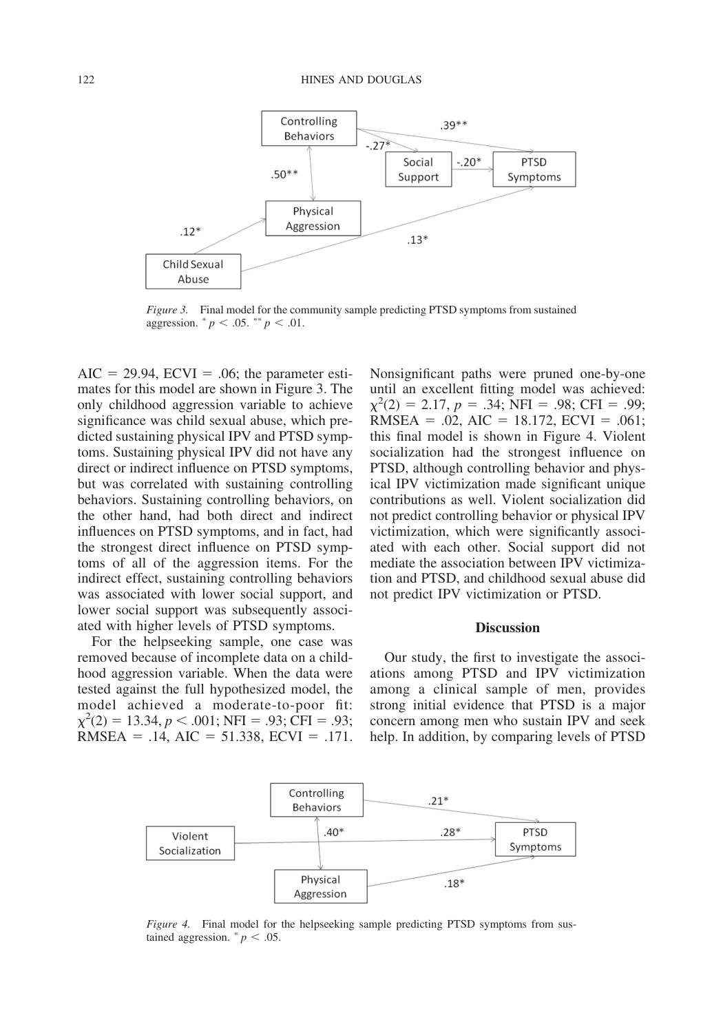

*Figure 3.* Final model for the community sample predicting PTSD symptoms from sustained aggression.  $^* p < .05.$   $^* p < .01.$ 

 $AIC = 29.94$ ,  $ECVI = .06$ ; the parameter estimates for this model are shown in Figure 3. The only childhood aggression variable to achieve significance was child sexual abuse, which predicted sustaining physical IPV and PTSD symptoms. Sustaining physical IPV did not have any direct or indirect influence on PTSD symptoms, but was correlated with sustaining controlling behaviors. Sustaining controlling behaviors, on the other hand, had both direct and indirect influences on PTSD symptoms, and in fact, had the strongest direct influence on PTSD symptoms of all of the aggression items. For the indirect effect, sustaining controlling behaviors was associated with lower social support, and lower social support was subsequently associated with higher levels of PTSD symptoms.

For the helpseeking sample, one case was removed because of incomplete data on a childhood aggression variable. When the data were tested against the full hypothesized model, the model achieved a moderate-to-poor fit:  $\chi^2(2) = 13.34, p < .001; \text{NFI} = .93; \text{CFI} = .93;$ RMSEA =  $.14$ , AIC = 51.338, ECVI =  $.171$ . Nonsignificant paths were pruned one-by-one until an excellent fitting model was achieved:  $\chi^2(2) = 2.17, p = .34; \text{ NFI} = .98; \text{ CFI} = .99;$ RMSEA = .02, AIC = 18.172, ECVI = .061; this final model is shown in Figure 4. Violent socialization had the strongest influence on PTSD, although controlling behavior and physical IPV victimization made significant unique contributions as well. Violent socialization did not predict controlling behavior or physical IPV victimization, which were significantly associated with each other. Social support did not mediate the association between IPV victimization and PTSD, and childhood sexual abuse did not predict IPV victimization or PTSD.

### **Discussion**

Our study, the first to investigate the associations among PTSD and IPV victimization among a clinical sample of men, provides strong initial evidence that PTSD is a major concern among men who sustain IPV and seek help. In addition, by comparing levels of PTSD



*Figure 4.* Final model for the helpseeking sample predicting PTSD symptoms from sustained aggression.  $p < .05$ .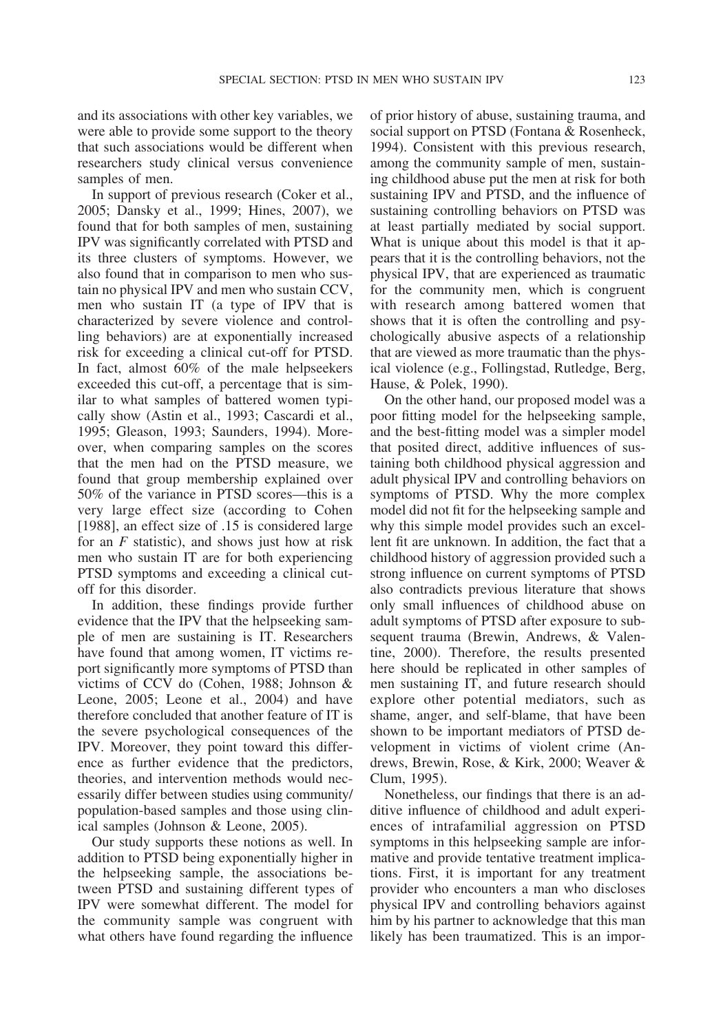and its associations with other key variables, we were able to provide some support to the theory that such associations would be different when researchers study clinical versus convenience samples of men.

In support of previous research (Coker et al., 2005; Dansky et al., 1999; Hines, 2007), we found that for both samples of men, sustaining IPV was significantly correlated with PTSD and its three clusters of symptoms. However, we also found that in comparison to men who sustain no physical IPV and men who sustain CCV, men who sustain IT (a type of IPV that is characterized by severe violence and controlling behaviors) are at exponentially increased risk for exceeding a clinical cut-off for PTSD. In fact, almost 60% of the male helpseekers exceeded this cut-off, a percentage that is similar to what samples of battered women typically show (Astin et al., 1993; Cascardi et al., 1995; Gleason, 1993; Saunders, 1994). Moreover, when comparing samples on the scores that the men had on the PTSD measure, we found that group membership explained over 50% of the variance in PTSD scores—this is a very large effect size (according to Cohen [1988], an effect size of .15 is considered large for an *F* statistic), and shows just how at risk men who sustain IT are for both experiencing PTSD symptoms and exceeding a clinical cutoff for this disorder.

In addition, these findings provide further evidence that the IPV that the helpseeking sample of men are sustaining is IT. Researchers have found that among women, IT victims report significantly more symptoms of PTSD than victims of CCV do (Cohen, 1988; Johnson & Leone, 2005; Leone et al., 2004) and have therefore concluded that another feature of IT is the severe psychological consequences of the IPV. Moreover, they point toward this difference as further evidence that the predictors, theories, and intervention methods would necessarily differ between studies using community/ population-based samples and those using clinical samples (Johnson & Leone, 2005).

Our study supports these notions as well. In addition to PTSD being exponentially higher in the helpseeking sample, the associations between PTSD and sustaining different types of IPV were somewhat different. The model for the community sample was congruent with what others have found regarding the influence of prior history of abuse, sustaining trauma, and social support on PTSD (Fontana & Rosenheck, 1994). Consistent with this previous research, among the community sample of men, sustaining childhood abuse put the men at risk for both sustaining IPV and PTSD, and the influence of sustaining controlling behaviors on PTSD was at least partially mediated by social support. What is unique about this model is that it appears that it is the controlling behaviors, not the physical IPV, that are experienced as traumatic for the community men, which is congruent with research among battered women that shows that it is often the controlling and psychologically abusive aspects of a relationship that are viewed as more traumatic than the physical violence (e.g., Follingstad, Rutledge, Berg, Hause, & Polek, 1990).

On the other hand, our proposed model was a poor fitting model for the helpseeking sample, and the best-fitting model was a simpler model that posited direct, additive influences of sustaining both childhood physical aggression and adult physical IPV and controlling behaviors on symptoms of PTSD. Why the more complex model did not fit for the helpseeking sample and why this simple model provides such an excellent fit are unknown. In addition, the fact that a childhood history of aggression provided such a strong influence on current symptoms of PTSD also contradicts previous literature that shows only small influences of childhood abuse on adult symptoms of PTSD after exposure to subsequent trauma (Brewin, Andrews, & Valentine, 2000). Therefore, the results presented here should be replicated in other samples of men sustaining IT, and future research should explore other potential mediators, such as shame, anger, and self-blame, that have been shown to be important mediators of PTSD development in victims of violent crime (Andrews, Brewin, Rose, & Kirk, 2000; Weaver & Clum, 1995).

Nonetheless, our findings that there is an additive influence of childhood and adult experiences of intrafamilial aggression on PTSD symptoms in this helpseeking sample are informative and provide tentative treatment implications. First, it is important for any treatment provider who encounters a man who discloses physical IPV and controlling behaviors against him by his partner to acknowledge that this man likely has been traumatized. This is an impor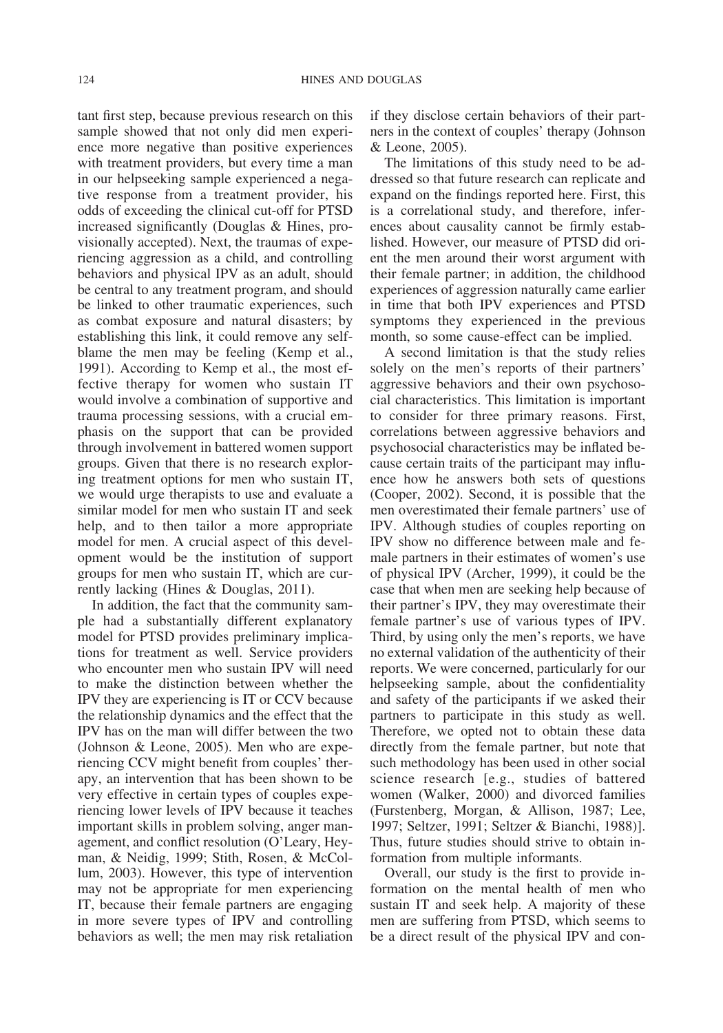tant first step, because previous research on this sample showed that not only did men experience more negative than positive experiences with treatment providers, but every time a man in our helpseeking sample experienced a negative response from a treatment provider, his odds of exceeding the clinical cut-off for PTSD increased significantly (Douglas & Hines, provisionally accepted). Next, the traumas of experiencing aggression as a child, and controlling behaviors and physical IPV as an adult, should be central to any treatment program, and should be linked to other traumatic experiences, such as combat exposure and natural disasters; by establishing this link, it could remove any selfblame the men may be feeling (Kemp et al., 1991). According to Kemp et al., the most effective therapy for women who sustain IT would involve a combination of supportive and trauma processing sessions, with a crucial emphasis on the support that can be provided through involvement in battered women support groups. Given that there is no research exploring treatment options for men who sustain IT, we would urge therapists to use and evaluate a similar model for men who sustain IT and seek help, and to then tailor a more appropriate model for men. A crucial aspect of this development would be the institution of support groups for men who sustain IT, which are currently lacking (Hines & Douglas, 2011).

In addition, the fact that the community sample had a substantially different explanatory model for PTSD provides preliminary implications for treatment as well. Service providers who encounter men who sustain IPV will need to make the distinction between whether the IPV they are experiencing is IT or CCV because the relationship dynamics and the effect that the IPV has on the man will differ between the two (Johnson & Leone, 2005). Men who are experiencing CCV might benefit from couples' therapy, an intervention that has been shown to be very effective in certain types of couples experiencing lower levels of IPV because it teaches important skills in problem solving, anger management, and conflict resolution (O'Leary, Heyman, & Neidig, 1999; Stith, Rosen, & McCollum, 2003). However, this type of intervention may not be appropriate for men experiencing IT, because their female partners are engaging in more severe types of IPV and controlling behaviors as well; the men may risk retaliation if they disclose certain behaviors of their partners in the context of couples' therapy (Johnson & Leone, 2005).

The limitations of this study need to be addressed so that future research can replicate and expand on the findings reported here. First, this is a correlational study, and therefore, inferences about causality cannot be firmly established. However, our measure of PTSD did orient the men around their worst argument with their female partner; in addition, the childhood experiences of aggression naturally came earlier in time that both IPV experiences and PTSD symptoms they experienced in the previous month, so some cause-effect can be implied.

A second limitation is that the study relies solely on the men's reports of their partners' aggressive behaviors and their own psychosocial characteristics. This limitation is important to consider for three primary reasons. First, correlations between aggressive behaviors and psychosocial characteristics may be inflated because certain traits of the participant may influence how he answers both sets of questions (Cooper, 2002). Second, it is possible that the men overestimated their female partners' use of IPV. Although studies of couples reporting on IPV show no difference between male and female partners in their estimates of women's use of physical IPV (Archer, 1999), it could be the case that when men are seeking help because of their partner's IPV, they may overestimate their female partner's use of various types of IPV. Third, by using only the men's reports, we have no external validation of the authenticity of their reports. We were concerned, particularly for our helpseeking sample, about the confidentiality and safety of the participants if we asked their partners to participate in this study as well. Therefore, we opted not to obtain these data directly from the female partner, but note that such methodology has been used in other social science research [e.g., studies of battered women (Walker, 2000) and divorced families (Furstenberg, Morgan, & Allison, 1987; Lee, 1997; Seltzer, 1991; Seltzer & Bianchi, 1988)]. Thus, future studies should strive to obtain information from multiple informants.

Overall, our study is the first to provide information on the mental health of men who sustain IT and seek help. A majority of these men are suffering from PTSD, which seems to be a direct result of the physical IPV and con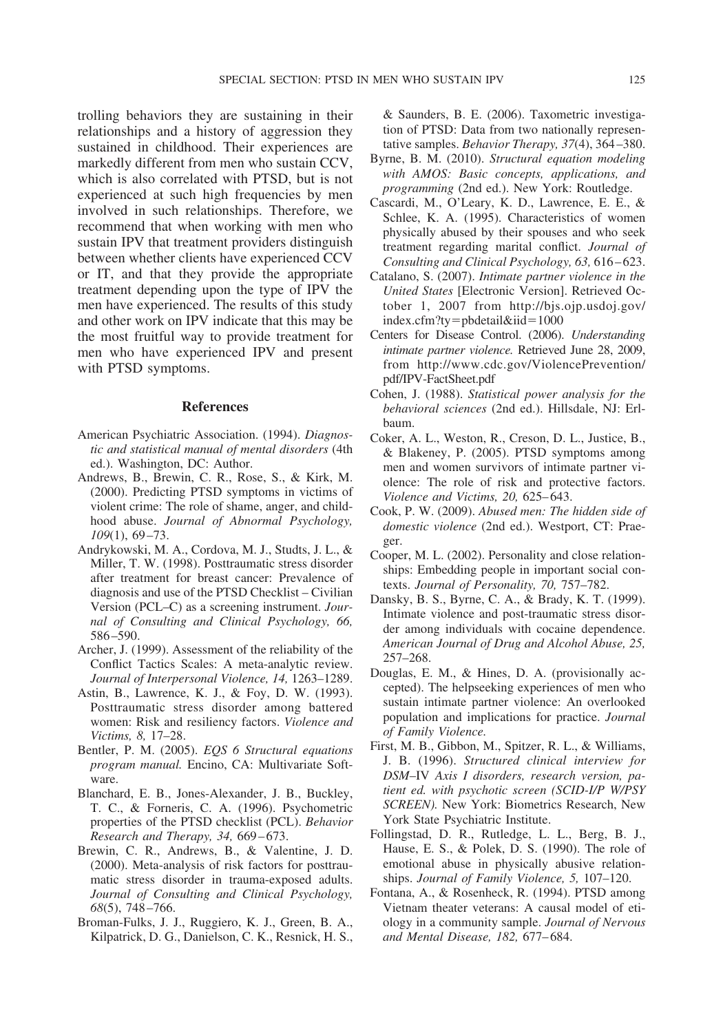trolling behaviors they are sustaining in their relationships and a history of aggression they sustained in childhood. Their experiences are markedly different from men who sustain CCV, which is also correlated with PTSD, but is not experienced at such high frequencies by men involved in such relationships. Therefore, we recommend that when working with men who sustain IPV that treatment providers distinguish between whether clients have experienced CCV or IT, and that they provide the appropriate treatment depending upon the type of IPV the men have experienced. The results of this study and other work on IPV indicate that this may be the most fruitful way to provide treatment for men who have experienced IPV and present with PTSD symptoms.

### **References**

- American Psychiatric Association. (1994). *Diagnostic and statistical manual of mental disorders* (4th ed.). Washington, DC: Author.
- Andrews, B., Brewin, C. R., Rose, S., & Kirk, M. (2000). Predicting PTSD symptoms in victims of violent crime: The role of shame, anger, and childhood abuse. *Journal of Abnormal Psychology, 109*(1), 69–73.
- Andrykowski, M. A., Cordova, M. J., Studts, J. L., & Miller, T. W. (1998). Posttraumatic stress disorder after treatment for breast cancer: Prevalence of diagnosis and use of the PTSD Checklist – Civilian Version (PCL–C) as a screening instrument. *Journal of Consulting and Clinical Psychology, 66,* 586–590.
- Archer, J. (1999). Assessment of the reliability of the Conflict Tactics Scales: A meta-analytic review. *Journal of Interpersonal Violence, 14,* 1263–1289.
- Astin, B., Lawrence, K. J., & Foy, D. W. (1993). Posttraumatic stress disorder among battered women: Risk and resiliency factors. *Violence and Victims, 8,* 17–28.
- Bentler, P. M. (2005). *EQS 6 Structural equations program manual.* Encino, CA: Multivariate Software.
- Blanchard, E. B., Jones-Alexander, J. B., Buckley, T. C., & Forneris, C. A. (1996). Psychometric properties of the PTSD checklist (PCL). *Behavior Research and Therapy, 34,* 669–673.
- Brewin, C. R., Andrews, B., & Valentine, J. D. (2000). Meta-analysis of risk factors for posttraumatic stress disorder in trauma-exposed adults. *Journal of Consulting and Clinical Psychology, 68*(5), 748–766.
- Broman-Fulks, J. J., Ruggiero, K. J., Green, B. A., Kilpatrick, D. G., Danielson, C. K., Resnick, H. S.,

& Saunders, B. E. (2006). Taxometric investigation of PTSD: Data from two nationally representative samples. *Behavior Therapy, 37*(4), 364–380.

- Byrne, B. M. (2010). *Structural equation modeling with AMOS: Basic concepts, applications, and programming* (2nd ed.). New York: Routledge.
- Cascardi, M., O'Leary, K. D., Lawrence, E. E., & Schlee, K. A. (1995). Characteristics of women physically abused by their spouses and who seek treatment regarding marital conflict. *Journal of Consulting and Clinical Psychology, 63,* 616–623.
- Catalano, S. (2007). *Intimate partner violence in the United States* [Electronic Version]. Retrieved October 1, 2007 from http://bjs.ojp.usdoj.gov/  $index.cfm?ty = pbcetail&iid=1000$
- Centers for Disease Control. (2006). *Understanding intimate partner violence.* Retrieved June 28, 2009, from http://www.cdc.gov/ViolencePrevention/ pdf/IPV-FactSheet.pdf
- Cohen, J. (1988). *Statistical power analysis for the behavioral sciences* (2nd ed.). Hillsdale, NJ: Erlbaum.
- Coker, A. L., Weston, R., Creson, D. L., Justice, B., & Blakeney, P. (2005). PTSD symptoms among men and women survivors of intimate partner violence: The role of risk and protective factors. *Violence and Victims, 20,* 625–643.
- Cook, P. W. (2009). *Abused men: The hidden side of domestic violence* (2nd ed.). Westport, CT: Praeger.
- Cooper, M. L. (2002). Personality and close relationships: Embedding people in important social contexts. *Journal of Personality, 70,* 757–782.
- Dansky, B. S., Byrne, C. A., & Brady, K. T. (1999). Intimate violence and post-traumatic stress disorder among individuals with cocaine dependence. *American Journal of Drug and Alcohol Abuse, 25,* 257–268.
- Douglas, E. M., & Hines, D. A. (provisionally accepted). The helpseeking experiences of men who sustain intimate partner violence: An overlooked population and implications for practice. *Journal of Family Violence.*
- First, M. B., Gibbon, M., Spitzer, R. L., & Williams, J. B. (1996). *Structured clinical interview for DSM*–IV *Axis I disorders, research version, patient ed. with psychotic screen (SCID-I/P W/PSY SCREEN).* New York: Biometrics Research, New York State Psychiatric Institute.
- Follingstad, D. R., Rutledge, L. L., Berg, B. J., Hause, E. S., & Polek, D. S. (1990). The role of emotional abuse in physically abusive relationships. *Journal of Family Violence, 5,* 107–120.
- Fontana, A., & Rosenheck, R. (1994). PTSD among Vietnam theater veterans: A causal model of etiology in a community sample. *Journal of Nervous and Mental Disease, 182,* 677–684.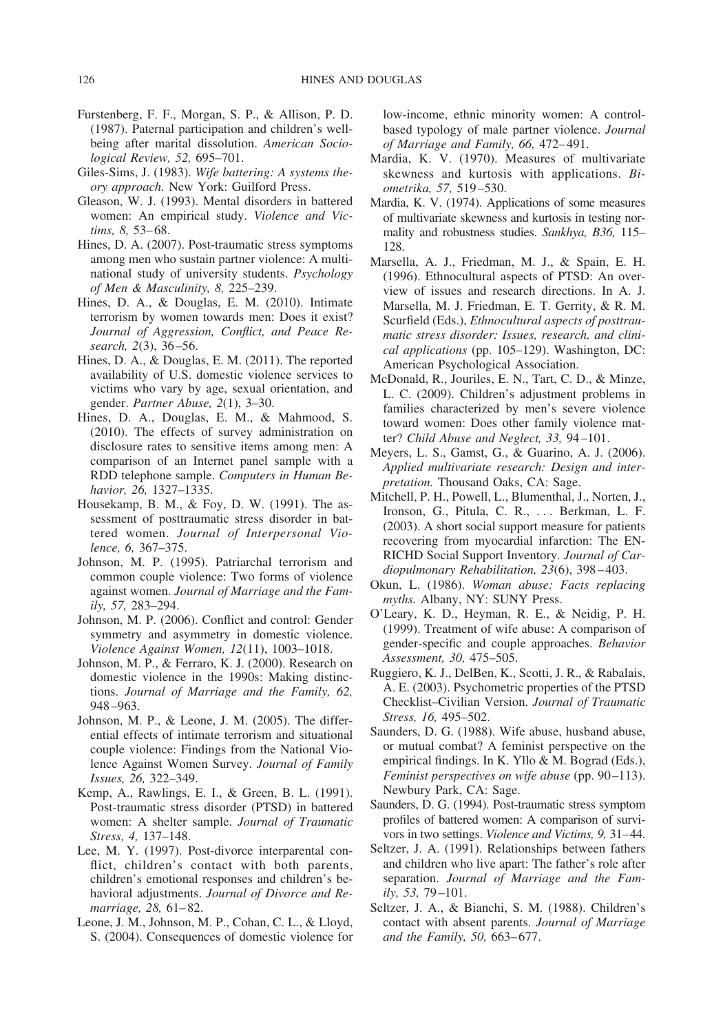- Furstenberg, F. F., Morgan, S. P., & Allison, P. D. (1987). Paternal participation and children's wellbeing after marital dissolution. *American Sociological Review, 52,* 695–701.
- Giles-Sims, J. (1983). *Wife battering: A systems theory approach.* New York: Guilford Press.
- Gleason, W. J. (1993). Mental disorders in battered women: An empirical study. *Violence and Victims, 8,* 53–68.
- Hines, D. A. (2007). Post-traumatic stress symptoms among men who sustain partner violence: A multinational study of university students. *Psychology of Men & Masculinity, 8,* 225–239.
- Hines, D. A., & Douglas, E. M. (2010). Intimate terrorism by women towards men: Does it exist? *Journal of Aggression, Conflict, and Peace Research, 2*(3), 36–56.
- Hines, D. A., & Douglas, E. M. (2011). The reported availability of U.S. domestic violence services to victims who vary by age, sexual orientation, and gender. *Partner Abuse, 2*(1), 3–30.
- Hines, D. A., Douglas, E. M., & Mahmood, S. (2010). The effects of survey administration on disclosure rates to sensitive items among men: A comparison of an Internet panel sample with a RDD telephone sample. *Computers in Human Behavior, 26,* 1327–1335.
- Housekamp, B. M., & Foy, D. W. (1991). The assessment of posttraumatic stress disorder in battered women. *Journal of Interpersonal Violence, 6,* 367–375.
- Johnson, M. P. (1995). Patriarchal terrorism and common couple violence: Two forms of violence against women. *Journal of Marriage and the Family, 57,* 283–294.
- Johnson, M. P. (2006). Conflict and control: Gender symmetry and asymmetry in domestic violence. *Violence Against Women, 12*(11), 1003–1018.
- Johnson, M. P., & Ferraro, K. J. (2000). Research on domestic violence in the 1990s: Making distinctions. *Journal of Marriage and the Family, 62,* 948–963.
- Johnson, M. P., & Leone, J. M. (2005). The differential effects of intimate terrorism and situational couple violence: Findings from the National Violence Against Women Survey. *Journal of Family Issues, 26,* 322–349.
- Kemp, A., Rawlings, E. I., & Green, B. L. (1991). Post-traumatic stress disorder (PTSD) in battered women: A shelter sample. *Journal of Traumatic Stress, 4,* 137–148.
- Lee, M. Y. (1997). Post-divorce interparental conflict, children's contact with both parents, children's emotional responses and children's behavioral adjustments. *Journal of Divorce and Remarriage, 28,* 61–82.
- Leone, J. M., Johnson, M. P., Cohan, C. L., & Lloyd, S. (2004). Consequences of domestic violence for

low-income, ethnic minority women: A controlbased typology of male partner violence. *Journal of Marriage and Family, 66,* 472–491.

- Mardia, K. V. (1970). Measures of multivariate skewness and kurtosis with applications. *Biometrika, 57,* 519–530.
- Mardia, K. V. (1974). Applications of some measures of multivariate skewness and kurtosis in testing normality and robustness studies. *Sankhya, B36,* 115– 128.
- Marsella, A. J., Friedman, M. J., & Spain, E. H. (1996). Ethnocultural aspects of PTSD: An overview of issues and research directions. In A. J. Marsella, M. J. Friedman, E. T. Gerrity, & R. M. Scurfield (Eds.), *Ethnocultural aspects of posttraumatic stress disorder: Issues, research, and clinical applications* (pp. 105–129). Washington, DC: American Psychological Association.
- McDonald, R., Jouriles, E. N., Tart, C. D., & Minze, L. C. (2009). Children's adjustment problems in families characterized by men's severe violence toward women: Does other family violence matter? *Child Abuse and Neglect, 33,* 94–101.
- Meyers, L. S., Gamst, G., & Guarino, A. J. (2006). *Applied multivariate research: Design and interpretation.* Thousand Oaks, CA: Sage.
- Mitchell, P. H., Powell, L., Blumenthal, J., Norten, J., Ironson, G., Pitula, C. R., . . . Berkman, L. F. (2003). A short social support measure for patients recovering from myocardial infarction: The EN-RICHD Social Support Inventory. *Journal of Cardiopulmonary Rehabilitation, 23*(6), 398–403.
- Okun, L. (1986). *Woman abuse: Facts replacing myths.* Albany, NY: SUNY Press.
- O'Leary, K. D., Heyman, R. E., & Neidig, P. H. (1999). Treatment of wife abuse: A comparison of gender-specific and couple approaches. *Behavior Assessment, 30,* 475–505.
- Ruggiero, K. J., DelBen, K., Scotti, J. R., & Rabalais, A. E. (2003). Psychometric properties of the PTSD Checklist–Civilian Version. *Journal of Traumatic Stress, 16,* 495–502.
- Saunders, D. G. (1988). Wife abuse, husband abuse, or mutual combat? A feminist perspective on the empirical findings. In K. Yllo & M. Bograd (Eds.), *Feminist perspectives on wife abuse* (pp. 90–113). Newbury Park, CA: Sage.
- Saunders, D. G. (1994). Post-traumatic stress symptom profiles of battered women: A comparison of survivors in two settings. *Violence and Victims, 9,* 31–44.
- Seltzer, J. A. (1991). Relationships between fathers and children who live apart: The father's role after separation. *Journal of Marriage and the Family, 53,* 79–101.
- Seltzer, J. A., & Bianchi, S. M. (1988). Children's contact with absent parents. *Journal of Marriage and the Family, 50,* 663–677.